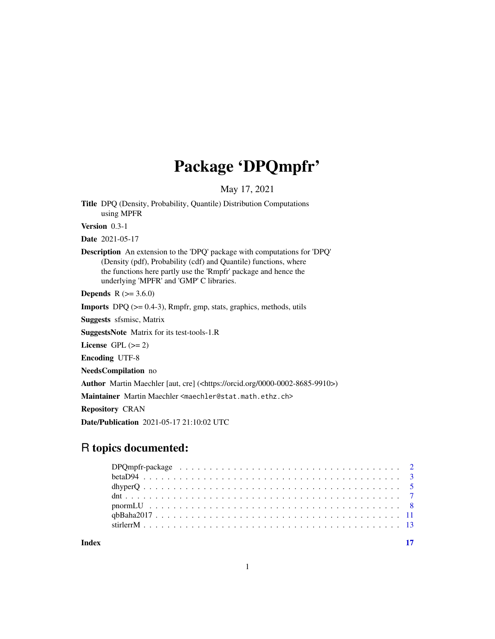## Package 'DPQmpfr'

May 17, 2021

<span id="page-0-0"></span>Title DPQ (Density, Probability, Quantile) Distribution Computations using MPFR

Version 0.3-1

Date 2021-05-17

Description An extension to the 'DPQ' package with computations for 'DPQ' (Density (pdf), Probability (cdf) and Quantile) functions, where the functions here partly use the 'Rmpfr' package and hence the underlying 'MPFR' and 'GMP' C libraries.

**Depends**  $R (= 3.6.0)$ 

**Imports** DPQ  $(>= 0.4-3)$ , Rmpfr, gmp, stats, graphics, methods, utils

Suggests sfsmisc, Matrix

SuggestsNote Matrix for its test-tools-1.R

License GPL  $(>= 2)$ 

Encoding UTF-8

NeedsCompilation no

Author Martin Maechler [aut, cre] (<https://orcid.org/0000-0002-8685-9910>)

Maintainer Martin Maechler <maechler@stat.math.ethz.ch>

Repository CRAN

Date/Publication 2021-05-17 21:10:02 UTC

## R topics documented:

**Index** [17](#page-16-0)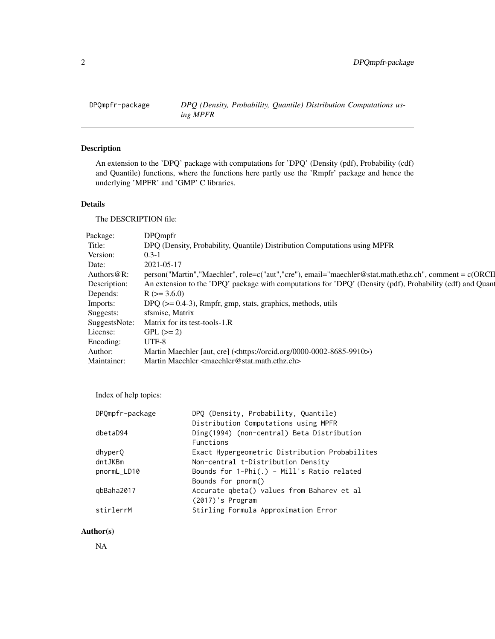<span id="page-1-0"></span>

## Description

An extension to the 'DPQ' package with computations for 'DPQ' (Density (pdf), Probability (cdf) and Quantile) functions, where the functions here partly use the 'Rmpfr' package and hence the underlying 'MPFR' and 'GMP' C libraries.

## Details

The DESCRIPTION file:

| Package:       | <b>DPQmpfr</b>                                                                                            |
|----------------|-----------------------------------------------------------------------------------------------------------|
| Title:         | DPQ (Density, Probability, Quantile) Distribution Computations using MPFR                                 |
| Version:       | $0.3 - 1$                                                                                                 |
| Date:          | 2021-05-17                                                                                                |
| Authors $@R$ : | person("Martin","Maechler", role=c("aut","cre"), email="maechler@stat.math.ethz.ch", comment = c(ORCI     |
| Description:   | An extension to the 'DPQ' package with computations for 'DPQ' (Density (pdf), Probability (cdf) and Quant |
| Depends:       | $R$ ( $>=$ 3.6.0)                                                                                         |
| Imports:       | DPQ ( $> = 0.4-3$ ), Rmpfr, gmp, stats, graphics, methods, utils                                          |
| Suggests:      | sfsmisc, Matrix                                                                                           |
| SuggestsNote:  | Matrix for its test-tools-1.R                                                                             |
| License:       | $GPL (=2)$                                                                                                |
| Encoding:      | UTF-8                                                                                                     |
| Author:        | Martin Maechler [aut, cre] ( <https: 0000-0002-8685-9910="" orcid.org="">)</https:>                       |
| Maintainer:    | Martin Maechler <maechler@stat.math.ethz.ch></maechler@stat.math.ethz.ch>                                 |

Index of help topics:

| DPQmpfr-package | DPO (Density, Probability, Quantile)             |
|-----------------|--------------------------------------------------|
|                 | Distribution Computations using MPFR             |
| dbetaD94        | Ding(1994) (non-central) Beta Distribution       |
|                 | Functions                                        |
| dhyper0         | Exact Hypergeometric Distribution Probabilites   |
| dntJKBm         | Non-central t-Distribution Density               |
| pnormL_LD10     | Bounds for $1$ -Phi $(.)$ - Mill's Ratio related |
|                 | Bounds for pnorm()                               |
| qbBaha2017      | Accurate qbeta() values from Baharev et al       |
|                 | (2017)'s Program                                 |
| stirlerrM       | Stirling Formula Approximation Error             |
|                 |                                                  |

## Author(s)

NA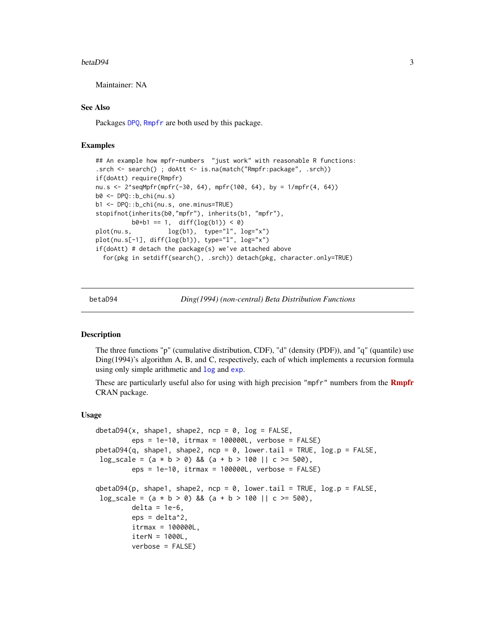#### <span id="page-2-0"></span> $betaD94$  3

Maintainer: NA

#### See Also

Packages [DPQ](#page-0-0), [Rmpfr](#page-0-0) are both used by this package.

## Examples

```
## An example how mpfr-numbers "just work" with reasonable R functions:
.srch <- search() ; doAtt <- is.na(match("Rmpfr:package", .srch))
if(doAtt) require(Rmpfr)
nu.s <- 2^seqMpfr(mpfr(-30, 64), mpfr(100, 64), by = 1/mpfr(4, 64))
b0 <- DPQ::b_chi(nu.s)
b1 <- DPQ::b_chi(nu.s, one.minus=TRUE)
stopifnot(inherits(b0,"mpfr"), inherits(b1, "mpfr"),
         b0+b1 == 1, diff(log(b1)) < 0plot(nu.s, log(b1), type="l", log="x")
plot(nu.s[-1], diff(log(b1)), type="l", log="x")
if(doAtt) # detach the package(s) we've attached above
 for(pkg in setdiff(search(), .srch)) detach(pkg, character.only=TRUE)
```
betaD94 *Ding(1994) (non-central) Beta Distribution Functions*

#### **Description**

The three functions "p" (cumulative distribution, CDF), "d" (density (PDF)), and "q" (quantile) use Ding(1994)'s algorithm A, B, and C, respectively, each of which implements a recursion formula using only simple arithmetic and [log](#page-0-0) and [exp](#page-0-0).

These are particularly useful also for using with high precision "mpfr" numbers from the **[Rmpfr](https://CRAN.R-project.org/package=Rmpfr)** CRAN package.

#### Usage

```
dbetaD94(x, shape1, shape2, ncp = 0, log = FALSE,
         eps = 1e-10, itrmax = 100000L, verbose = FALSE)
pbetaD94(q, shape1, shape2, ncp = 0, lower.tail = TRUE, log.p = FALSE,
log\_scale = (a * b > 0) && (a + b > 100 || c >= 500),
         eps = 1e-10, itrmax = 100000L, verbose = FALSE)
qbetaD94(p, shape1, shape2, ncp = 0, lower.tail = TRUE, log.p = FALSE,
log\_scale = (a * b > 0) && (a + b > 100 || c >= 500),
         delta = 1e-6,
         eps = delta^2.
         itrmax = 100000L,
         iterN = 1000L,
         verbose = FALSE)
```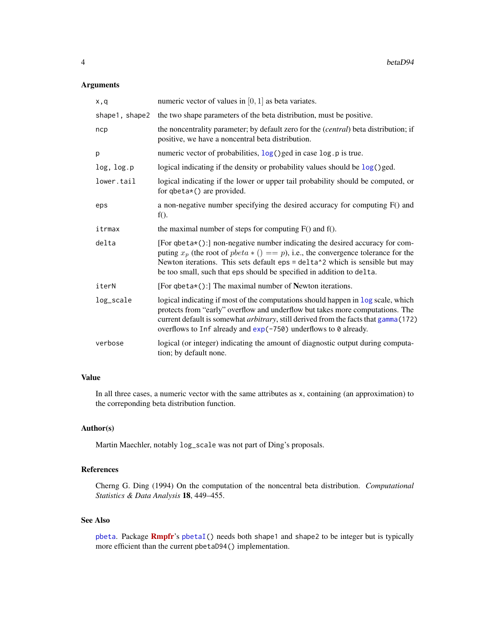## <span id="page-3-0"></span>Arguments

| x,q            | numeric vector of values in $[0, 1]$ as beta variates.                                                                                                                                                                                                                                                                                 |
|----------------|----------------------------------------------------------------------------------------------------------------------------------------------------------------------------------------------------------------------------------------------------------------------------------------------------------------------------------------|
| shape1, shape2 | the two shape parameters of the beta distribution, must be positive.                                                                                                                                                                                                                                                                   |
| ncp            | the noncentrality parameter; by default zero for the (central) beta distribution; if<br>positive, we have a noncentral beta distribution.                                                                                                                                                                                              |
| р              | numeric vector of probabilities, log() ged in case log.p is true.                                                                                                                                                                                                                                                                      |
| log, log.p     | logical indicating if the density or probability values should be $log($ ) ged.                                                                                                                                                                                                                                                        |
| lower.tail     | logical indicating if the lower or upper tail probability should be computed, or<br>for $q$ beta $*($ ) are provided.                                                                                                                                                                                                                  |
| eps            | a non-negative number specifying the desired accuracy for computing F() and<br>$f()$ .                                                                                                                                                                                                                                                 |
| itrmax         | the maximal number of steps for computing $F()$ and $f()$ .                                                                                                                                                                                                                                                                            |
| delta          | [For qbeta*():] non-negative number indicating the desired accuracy for com-<br>puting $x_p$ (the root of $pbeta * ( ) == p$ ), i.e., the convergence tolerance for the<br>Newton iterations. This sets default eps = delta^2 which is sensible but may<br>be too small, such that eps should be specified in addition to delta.       |
| iterN          | [For qbeta*():] The maximal number of Newton iterations.                                                                                                                                                                                                                                                                               |
| log_scale      | logical indicating if most of the computations should happen in log scale, which<br>protects from "early" overflow and underflow but takes more computations. The<br>current default is somewhat <i>arbitrary</i> , still derived from the facts that gamma (172)<br>overflows to Inf already and $exp(-750)$ underflows to 0 already. |
| verbose        | logical (or integer) indicating the amount of diagnostic output during computa-<br>tion; by default none.                                                                                                                                                                                                                              |

## Value

In all three cases, a numeric vector with the same attributes as x, containing (an approximation) to the correponding beta distribution function.

## Author(s)

Martin Maechler, notably log\_scale was not part of Ding's proposals.

#### References

Cherng G. Ding (1994) On the computation of the noncentral beta distribution. *Computational Statistics & Data Analysis* 18, 449–455.

#### See Also

[pbeta](#page-0-0). Package [Rmpfr](https://CRAN.R-project.org/package=Rmpfr)'s [pbetaI\(](#page-0-0)) needs both shape1 and shape2 to be integer but is typically more efficient than the current pbetaD94() implementation.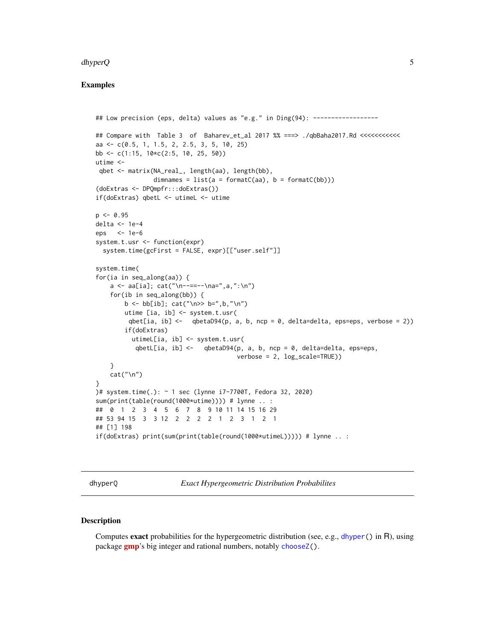#### <span id="page-4-0"></span>dhyperQ 5.5 Separately and the set of the set of the set of the set of the set of the set of the set of the set of the set of the set of the set of the set of the set of the set of the set of the set of the set of the set

#### Examples

```
## Low precision (eps, delta) values as "e.g." in Ding(94): ------------------
## Compare with Table 3 of Baharev_et_al 2017 %% ===> ./qbBaha2017.Rd <<<<<<<<<<<<<<<
aa <- c(0.5, 1, 1.5, 2, 2.5, 3, 5, 10, 25)
bb \leq c(1:15, 10\starc(2:5, 10, 25, 50))
utime <-
 qbet <- matrix(NA_real_, length(aa), length(bb),
               dimnames = list(a = formatC(aa), b = formatC(bb))(doExtras <- DPQmpfr:::doExtras())
if(doExtras) qbetL <- utimeL <- utime
p \le -0.95delta <- 1e-4
eps <- 1e-6
system.t.usr <- function(expr)
  system.time(gcFirst = FALSE, expr)[["user.self"]]
system.time(
for(ia in seq_along(aa)) {
    a \leq a[a]; cat("n-----\na=",a,":\n"for(ib in seq_along(bb)) {
        b <- bb[ib]; cat("\n>> b=",b,"\n")
        utime [ia, ib] <- system.t.usr(
        qbet[ia, ib] <- qbetaD94(p, a, b, ncp = 0, delta=delta, eps=eps, verbose = 2))
        if(doExtras)
         utimeL[ia, ib] <- system.t.usr(
           qbetL[ia, ib] \leq qbetaD94(p, a, b, ncp = 0, delta=delta, eps=eps,
                                      verbose = 2, log_scale=TRUE))
    }
    cat("\n'\)}
)# system.time(.): ~ 1 sec (lynne i7-7700T, Fedora 32, 2020)
sum(print(table(round(1000*utime)))) # lynne .. :
## 0 1 2 3 4 5 6 7 8 9 10 11 14 15 16 29
## 53 94 15 3 3 12 2 2 2 2 1 2 3 1 2 1
## [1] 198
if(doExtras) print(sum(print(table(round(1000*utimeL))))) # lynne .. :
```
dhyperQ *Exact Hypergeometric Distribution Probabilites*

#### Description

Computes exact probabilities for the hypergeometric distribution (see, e.g., [dhyper\(](#page-0-0)) in R), using package **[gmp](https://CRAN.R-project.org/package=gmp)**'s big integer and rational numbers, notably [chooseZ\(](#page-0-0)).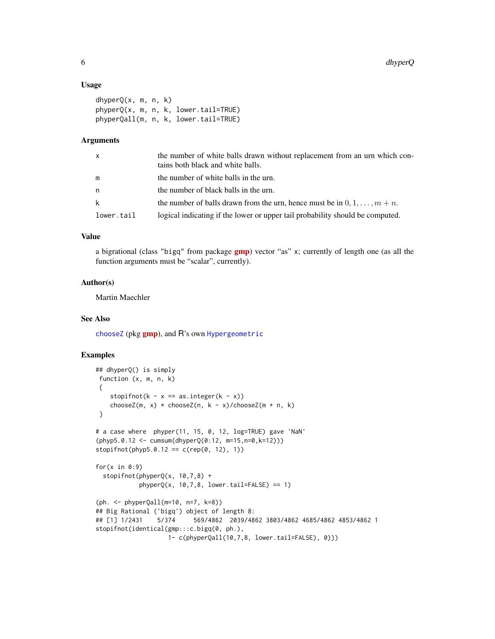#### Usage

```
dhyperQ(x, m, n, k)
phyperQ(x, m, n, k, lower.tail=TRUE)
phyperQall(m, n, k, lower.tail=TRUE)
```
#### Arguments

| X          | the number of white balls drawn without replacement from an urn which con-<br>tains both black and white balls. |
|------------|-----------------------------------------------------------------------------------------------------------------|
| m          | the number of white balls in the urn.                                                                           |
| n          | the number of black balls in the urn.                                                                           |
| k          | the number of balls drawn from the urn, hence must be in $0, 1, \ldots, m+n$ .                                  |
| lower.tail | logical indicating if the lower or upper tail probability should be computed.                                   |

#### Value

a bigrational (class "bigq" from package **[gmp](https://CRAN.R-project.org/package=gmp)**) vector "as" x; currently of length one (as all the function arguments must be "scalar", currently).

#### Author(s)

Martin Maechler

## See Also

[chooseZ](#page-0-0) (pkg [gmp](https://CRAN.R-project.org/package=gmp)), and R's own [Hypergeometric](#page-0-0)

```
## dhyperQ() is simply
function (x, m, n, k)
{
    stopifnot(k - x == as.integer(k - x))
    chooseZ(m, x) * chooseZ(n, k - x)/chooseZ(m + n, k)
}
# a case where phyper(11, 15, 0, 12, log=TRUE) gave 'NaN'
(\text{phyp5.0.12} <= \text{cumsum}(\text{dhyperQ}(0:12, \text{m=15}, \text{n=0}, \text{k=12})))stopifnot(phyp5.0.12 == c(rep(0, 12), 1))for(x in 0:9)stopifnot(phyperQ(x, 10,7,8) +
            phyperQ(x, 10, 7, 8, lowertail=FALSE) == 1)(ph. <- phyperQall(m=10, n=7, k=8))
## Big Rational ('bigq') object of length 8:
## [1] 1/2431 5/374 569/4862 2039/4862 3803/4862 4685/4862 4853/4862 1
stopifnot(identical(gmp:::c.bigq(0, ph.),
                     1- c(phyperQall(10,7,8, lower.tail=FALSE), 0)))
```
<span id="page-5-0"></span>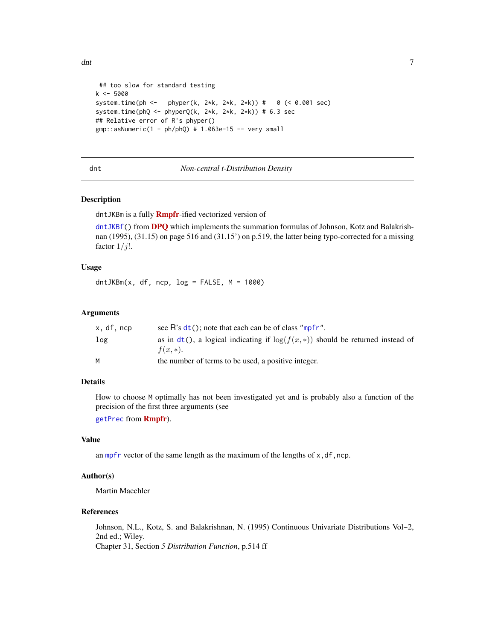```
## too slow for standard testing
k <- 5000
system.time(ph <- phyper(k, 2*k, 2*k, 2*k)) # 0 (< 0.001 sec)
system.time(phQ <- phyperQ(k, 2*k, 2*k, 2*k) # 6.3 sec
## Relative error of R's phyper()
gmp::asNumeric(1 - ph/phQ) # 1.063e-15 -- very small
```
#### dnt *Non-central t-Distribution Density*

#### Description

dntJKBm is a fully **[Rmpfr](https://CRAN.R-project.org/package=Rmpfr)**-ified vectorized version of

dnt JKBf() from [DPQ](https://CRAN.R-project.org/package=DPQ) which implements the summation formulas of Johnson, Kotz and Balakrishnan (1995), (31.15) on page 516 and (31.15') on p.519, the latter being typo-corrected for a missing factor  $1/j!$ .

#### Usage

 $d$ ntJKBm(x, df, ncp,  $log =$  FALSE, M = 1000)

#### Arguments

| x.df.ncp | see $\overline{R}$ 's $dt$ (); note that each can be of class "mpfr".                            |
|----------|--------------------------------------------------------------------------------------------------|
| log      | as in $dt()$ , a logical indicating if $log(f(x,*))$ should be returned instead of<br>$f(x, *).$ |
| м        | the number of terms to be used, a positive integer.                                              |

## Details

How to choose M optimally has not been investigated yet and is probably also a function of the precision of the first three arguments (see

[getPrec](#page-0-0) from [Rmpfr](https://CRAN.R-project.org/package=Rmpfr)).

## Value

an [mpfr](#page-0-0) vector of the same length as the maximum of the lengths of  $x$ , df, ncp.

#### Author(s)

Martin Maechler

#### References

Johnson, N.L., Kotz, S. and Balakrishnan, N. (1995) Continuous Univariate Distributions Vol~2, 2nd ed.; Wiley. Chapter 31, Section *5 Distribution Function*, p.514 ff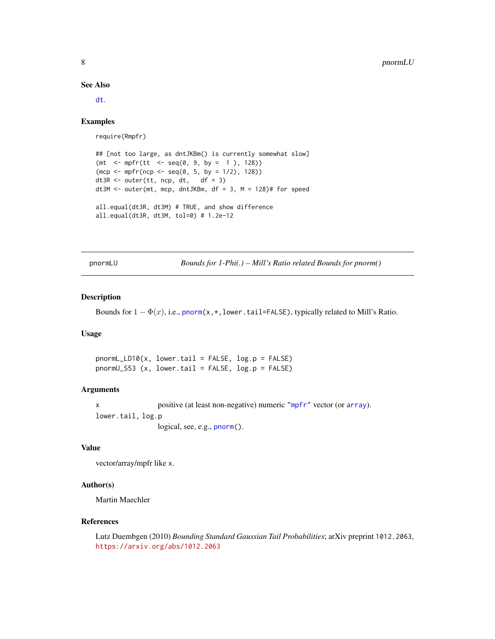See Also

[dt](#page-0-0).

#### Examples

require(Rmpfr)

```
## [not too large, as dntJKBm() is currently somewhat slow]
(mt <- mpfr(tt <- seq(0, 9, by = 1 ), 128))
(mcp \le mpfr(ncp \le seq(0, 5, by = 1/2), 128))dt3R <- outer(tt, ncp, dt, df = 3)
dt3M <- outer(mt, mcp, dntJKBm, df = 3, M = 128)# for speed
all.equal(dt3R, dt3M) # TRUE, and show difference
all.equal(dt3R, dt3M, tol=0) # 1.2e-12
```
pnormLU *Bounds for 1-Phi(.) – Mill's Ratio related Bounds for pnorm()*

#### Description

Bounds for  $1 - \Phi(x)$ , i.e., [pnorm\(](#page-0-0)x, \*, lower.tail=FALSE), typically related to Mill's Ratio.

#### Usage

pnormL\_LD10(x, lower.tail = FALSE, log.p = FALSE) pnormU\_S53 (x, lower.tail = FALSE, log.p = FALSE)

#### Arguments

x positive (at least non-negative) numeric ["mpfr"](#page-0-0) vector (or [array](#page-0-0)). lower.tail, log.p logical, see, e.g., [pnorm\(](#page-0-0)).

## Value

vector/array/mpfr like x.

## Author(s)

Martin Maechler

#### References

Lutz Duembgen (2010) *Bounding Standard Gaussian Tail Probabilities*; arXiv preprint 1012.2063, <https://arxiv.org/abs/1012.2063>

<span id="page-7-0"></span>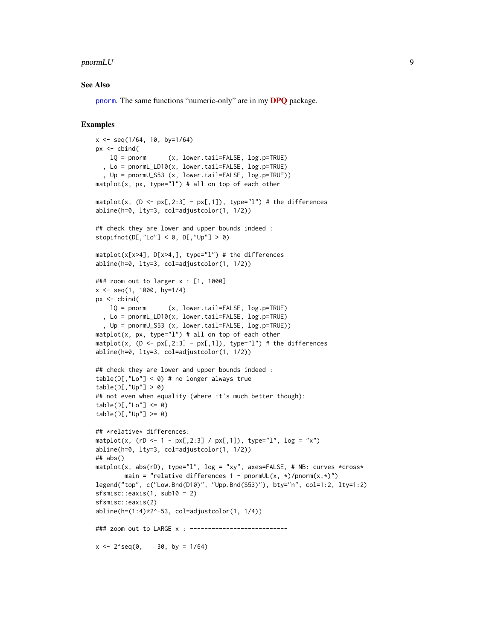#### <span id="page-8-0"></span> $\mathsf{pnormLU}$  9

#### See Also

[pnorm](#page-0-0). The same functions "numeric-only" are in my [DPQ](https://CRAN.R-project.org/package=DPQ) package.

```
x \le - seq(1/64, 10, by=1/64)
px < - cbind(
   lQ = pnorm (x, lower.tail=FALSE, log.p=TRUE)
  , Lo = pnormL_LD10(x, lower.tail=FALSE, log.p=TRUE)
  , Up = pnormU_S53 (x, lower.tail=FALSE, log.p=TRUE))
matplot(x, px, type="l") # all on top of each other
matplot(x, (D \le p \times [0, 2:3] - px[0, 1]), type="l") # the differences
abline(h=0, lty=3, col=adjustcolor(1, 1/2))
## check they are lower and upper bounds indeed :
stopifnot(D[,"Lo"] < 0, D[,"Up"] > 0)
matplot(x[x>4], D[x>4,], type="l") # the differences
abline(h=0, lty=3, col=adjustcolor(1, 1/2))
### zoom out to larger x : [1, 1000]
x \le - seq(1, 1000, by=1/4)
px <- cbind(
   lQ = pnorm (x, lower.tail=FALSE, log.p=TRUE)
  , Lo = pnormL_LD10(x, lower.tail=FALSE, log.p=TRUE)
  , Up = pnormU_S53 (x, lower.tail=FALSE, log.p=TRUE))
matplot(x, px, type=1") # all on top of each other
matplot(x, (D \le p \times [0, 2:3] - px[0, 1]), type="l") # the differences
abline(h=0, lty=3, col=adjustcolor(1, 1/2))
## check they are lower and upper bounds indeed :
table(D[, "Lo"] < 0) # no longer always true
table(D[, "Up"] > 0)## not even when equality (where it's much better though):
table(D[, "Lo"] \le 0)table(D[, "Up"] \ge 0)## *relative* differences:
matplot(x, ( rD < -1 - px[, 2:3] / px[, 1]), type="l", log = "x")abline(h=0, lty=3, col=adjustcolor(1, 1/2))
## abs()matplot(x, abs(rD), type="l", log = "xy", axes=FALSE, # NB: curves *cross*
        main = "relative differences 1 - pnormUL(x, *)/pnorm(x,*)")
legend("top", c("Low.Bnd(D10)", "Upp.Bnd(S53)"), bty="n", col=1:2, lty=1:2)
sfsmisc::eaxis(1, sub10 = 2)sfsmisc::eaxis(2)
abline(h=(1:4)*2^* - 53, col=adjustcolor(1, 1/4))### zoom out to LARGE x : --------------------------
x \le -2^seq(0, 30, by = 1/64)
```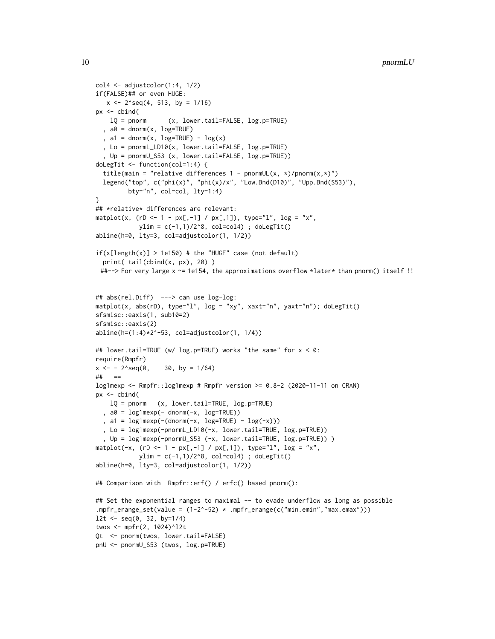```
col4 \leftarrow adjustcolor(1:4, 1/2)if(FALSE)## or even HUGE:
  x \le -2^seq(4, 513, by = 1/16)
px <- cbind(
   lQ = pnorm (x, lower.tail=FALSE, log.p=TRUE)
  , a0 = \text{dnorm}(x, \text{log=TRUE}), a1 = dnorm(x, log=TRUE) - log(x), Lo = pnormL_LD10(x, lower.tail=FALSE, log.p=TRUE)
  , Up = pnormU_S53 (x, lower.tail=FALSE, log.p=TRUE))
doLegTit <- function(col=1:4) {
 title(main = "relative differences 1 - pnormUL(x, *)/pnorm(x,*)")
 legend("top", c("phi(x)", "phi(x)/x", "Low.Bnd(D10)", "Upp.Bnd(S53)");bty="n", col=col, lty=1:4)
}
## *relative* differences are relevant:
matplot(x, (rD < -1 - px[, -1] / px[, 1]), type="l", log = "x",
            ylim = c(-1,1)/2^8, col=col4); doLegTit()
abline(h=0, lty=3, col=adjustcolor(1, 1/2))
if(x[length(x)] > 1e150) # the "HUGE" case (not default)
 print( tail(cbind(x, px), 20) )
 ##--> For very large x ~= 1e154, the approximations overflow *later* than pnorm() itself !!
## abs(rel.Diff) ---> can use log-log:
matplot(x, abs(rD), type="l", log = "xy", xaxt="n", yaxt="n"); doLegTit()
sfsmisc::eaxis(1, sub10=2)
sfsmisc::eaxis(2)
abline(h=(1:4)*2^-53, col=adjustcolor(1, 1/4))
## lower.tail=TRUE (w/ log.p=TRUE) works "the same" for x < 0:
require(Rmpfr)
x \le -2^seq(0, 30, by = 1/64)
## ==
log1mexp <- Rmpfr::log1mexp # Rmpfr version >= 0.8-2 (2020-11-11 on CRAN)
px <- cbind(
   lQ = pnorm (x, lower.tail=TRUE, log.p=TRUE)
  , a0 = log1mexp(- dnorm(-x, log=TRUE))
  , a1 = \text{log1mexp}(-(\text{dnorm}(-x, \text{log=TRUE}) - \text{log}(-x))), Lo = log1mexp(-pnormL_LD10(-x, lower.tail=TRUE, log.p=TRUE))
  , Up = log1mexp(-pnormU_S53 (-x, lower.tail=TRUE, log.p=TRUE)) )
matplot(-x, (rD < -1 - px[, -1] / px[, 1]), type="l", log = "x",
            ylim = c(-1,1)/2^8, col=col4); doLegTit()
abline(h=0, lty=3, col=adjustcolor(1, 1/2))
## Comparison with Rmpfr::erf() / erfc() based pnorm():
## Set the exponential ranges to maximal -- to evade underflow as long as possible
.mpfr_erange_set(value = (1-2^-52) * .mpfr_erange(c("min.emin","max.emax")))
l2t <- seq(0, 32, by=1/4)
twos <- mpfr(2, 1024)^l2t
Qt <- pnorm(twos, lower.tail=FALSE)
pnU <- pnormU_S53 (twos, log.p=TRUE)
```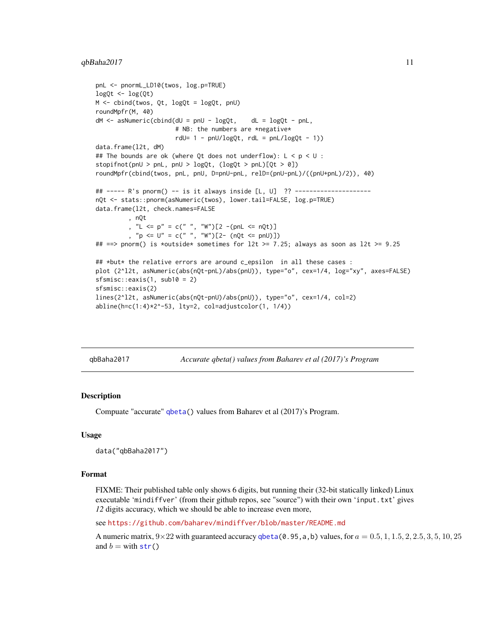#### <span id="page-10-0"></span> $q$ bBaha $2017$  11

```
pnL <- pnormL_LD10(twos, log.p=TRUE)
logQt \leftarrow log(Qt)M <- cbind(twos, Qt, logQt = logQt, pnU)
roundMpfr(M, 40)
dM < - asNumeric(cbind(dU = pnU - logQt, dL = logQt - pnL,
                      # NB: the numbers are *negative*
                      rdU= 1 - pnl/logQt, rdl = pnl/logQt - 1)data.frame(l2t, dM)
## The bounds are ok (where Qt does not underflow): L < p < U:
stopifnot(pnU > pnL, pnU > logQt, (logQt > pnL)[Qt > 0])
roundMpfr(cbind(twos, pnL, pnU, D=pnU-pnL, relD=(pnU-pnL)/((pnU+pnL)/2)), 40)
## ----- R's pnorm() -- is it always inside [L, U] ?? ---------------------
nQt <- stats::pnorm(asNumeric(twos), lower.tail=FALSE, log.p=TRUE)
data.frame(l2t, check.names=FALSE
         , nQt
         , "L <= p" = c(" ", "W")[2 -(pnL <= nQt)]
         , "p <= U" = c(" ", "W")[2- (nQt <= pnU)])
## ==> pnorm() is *outside* sometimes for 12t >= 7.25; always as soon as 12t >= 9.25
## *but* the relative errors are around c_epsilon in all these cases :
plot (2^l2t, asNumeric(abs(nQt-pnL)/abs(pnU)), type="o", cex=1/4, log="xy", axes=FALSE)
sfsmisc::eaxis(1, sub10 = 2)
sfsmisc::eaxis(2)
lines(2^l2t, asNumeric(abs(nQt-pnU)/abs(pnU)), type="o", cex=1/4, col=2)
abline(h=c(1:4)*2^-53, lty=2, col=adjustcolor(1, 1/4))
```
qbBaha2017 *Accurate qbeta() values from Baharev et al (2017)'s Program*

#### Description

Compuate "accurate" [qbeta\(](#page-0-0)) values from Baharev et al (2017)'s Program.

#### Usage

data("qbBaha2017")

#### Format

FIXME: Their published table only shows 6 digits, but running their (32-bit statically linked) Linux executable 'mindiffver' (from their github repos, see "source") with their own 'input.txt' gives *12* digits accuracy, which we should be able to increase even more,

see <https://github.com/baharev/mindiffver/blob/master/README.md>

A numeric matrix,  $9 \times 22$  with guaranteed accuracy [qbeta\(](#page-0-0)0.95,a,b) values, for  $a = 0.5, 1, 1.5, 2, 2.5, 3, 5, 10, 25$ and  $b =$  with [str\(](#page-0-0))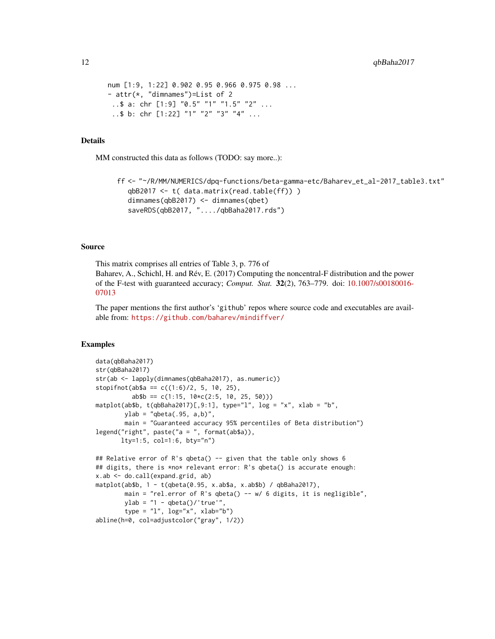```
num [1:9, 1:22] 0.902 0.95 0.966 0.975 0.98 ...
- attr(*, "dimnames")=List of 2
..$ a: chr [1:9] "0.5" "1" "1.5" "2" ...
 ..$ b: chr [1:22] "1" "2" "3" "4" ...
```
#### Details

MM constructed this data as follows (TODO: say more..):

```
ff <- "~/R/MM/NUMERICS/dpq-functions/beta-gamma-etc/Baharev_et_al-2017_table3.txt"
  qbB2017 <- t( data.matrix(read.table(ff)) )
  dimnames(qbB2017) <- dimnames(qbet)
  saveRDS(qbB2017, "..../qbBaha2017.rds")
```
#### Source

This matrix comprises all entries of Table 3, p. 776 of Baharev, A., Schichl, H. and Rév, E. (2017) Computing the noncentral-F distribution and the power of the F-test with guaranteed accuracy; *Comput. Stat.* 32(2), 763–779. doi: [10.1007/s00180016-](https://doi.org/10.1007/s00180-016-0701-3) [07013](https://doi.org/10.1007/s00180-016-0701-3)

The paper mentions the first author's 'github' repos where source code and executables are available from: <https://github.com/baharev/mindiffver/>

```
data(qbBaha2017)
str(qbBaha2017)
str(ab <- lapply(dimnames(qbBaha2017), as.numeric))
stopifnot(ab$a == c((1:6)/2, 5, 10, 25),
          ab$b == c(1:15, 10*c(2:5, 10, 25, 50)))
matplot(ab$b, t(qbBaha2017)[,9:1], type="l", log = "x", xlab = "b",
       ylab = "qbeta(.95, a,b)",
       main = "Guaranteed accuracy 95% percentiles of Beta distribution")
legend("right", paste("a = ", format(ab$a)),lty=1:5, col=1:6, bty="n")
## Relative error of R's qbeta() -- given that the table only shows 6
## digits, there is *no* relevant error: R's qbeta() is accurate enough:
x.ab <- do.call(expand.grid, ab)
matplot(ab$b, 1 - t(qbeta(0.95, x.ab$a, x.ab$b) / qbBaha2017),
       main = "rel.error of R's qbeta() -- w/6 digits, it is negligible",
       ylab = "1 - qbeta()'true'",
       type = "1", log="x", xlab="b")
abline(h=0, col=adjustcolor("gray", 1/2))
```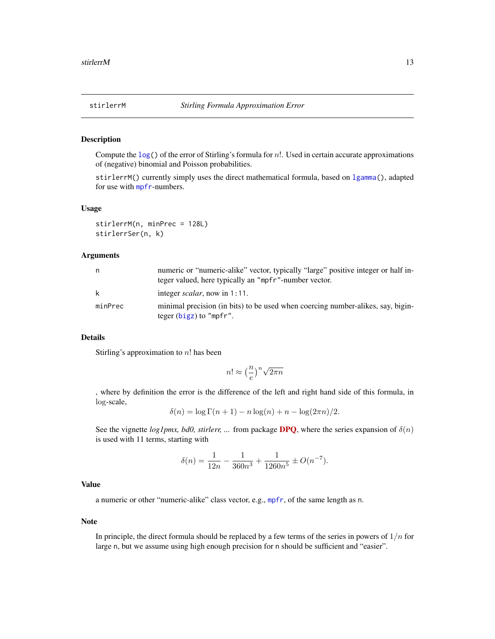<span id="page-12-0"></span>

#### Description

Compute the  $log()$  $log()$  of the error of Stirling's formula for n!. Used in certain accurate approximations of (negative) binomial and Poisson probabilities.

stirlerrM() currently simply uses the direct mathematical formula, based on [lgamma\(](#page-0-0)), adapted for use with [mpfr](#page-0-0)-numbers.

#### Usage

stirlerrM(n, minPrec = 128L) stirlerrSer(n, k)

#### Arguments

| n       | numeric or "numeric-alike" vector, typically "large" positive integer or half in-<br>teger valued, here typically an "mpfr"-number vector. |
|---------|--------------------------------------------------------------------------------------------------------------------------------------------|
| k       | integer <i>scalar</i> , now in 1:11.                                                                                                       |
| minPrec | minimal precision (in bits) to be used when coercing number-alikes, say, bigin-<br>teger $(bigz)$ to "mpfr".                               |

## Details

Stirling's approximation to  $n!$  has been

$$
n! \approx \left(\frac{n}{e}\right)^n \sqrt{2\pi n}
$$

, where by definition the error is the difference of the left and right hand side of this formula, in log-scale,

$$
\delta(n) = \log \Gamma(n+1) - n \log(n) + n - \log(2\pi n)/2.
$$

See the vignette *log1pmx, bd0, stirlerr, ...* from package **[DPQ](https://CRAN.R-project.org/package=DPQ)**, where the series expansion of  $\delta(n)$ is used with 11 terms, starting with

$$
\delta(n) = \frac{1}{12n} - \frac{1}{360n^3} + \frac{1}{1260n^5} \pm O(n^{-7}).
$$

## Value

a numeric or other "numeric-alike" class vector, e.g., [mpfr](#page-0-0), of the same length as n.

#### Note

In principle, the direct formula should be replaced by a few terms of the series in powers of  $1/n$  for large n, but we assume using high enough precision for n should be sufficient and "easier".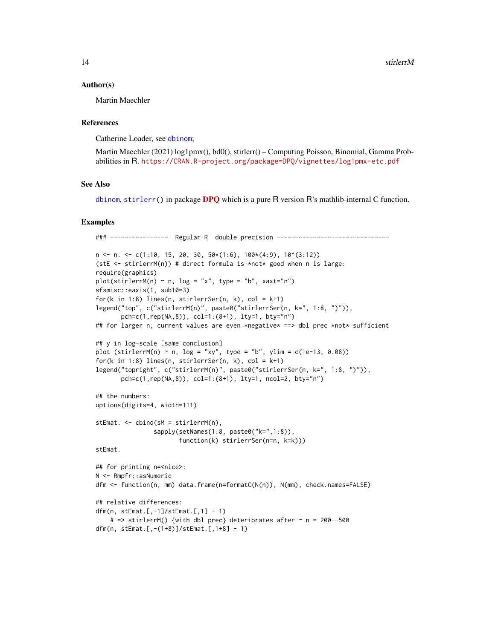#### <span id="page-13-0"></span>Author(s)

Martin Maechler

#### References

Catherine Loader, see [dbinom](#page-0-0);

```
Martin Maechler (2021) log1pmx(), bd0(), stirlerr() – Computing Poisson, Binomial, Gamma Prob-
abilities in R. https://CRAN.R-project.org/package=DPQ/vignettes/log1pmx-etc.pdf
```
#### See Also

[dbinom](#page-0-0), [stirlerr\(](#page-0-0)) in package [DPQ](https://CRAN.R-project.org/package=DPQ) which is a pure R version R's mathlib-internal C function.

```
### ---------------     Regular R     double precision --------------------------
n \leq n. \leq c(1:10, 15, 20, 30, 50*(1:6), 100*(4:9), 10^(3:12))(stE \le stirlerrM(n)) # direct formula is *not* good when n is large:
require(graphics)
plot(\text{stirlerrM}(n) ~ ~ n, ~ log = "x", ~ type = "b", ~ xaxt="n")sfsmisc::eaxis(1, sub10=3)
for(k in 1:8) lines(n, stirlerrSer(n, k), col = k+1)
legend("top", c("stirlerrM(n)", paste0("stirlerrSer(n, k=", 1:8, ")")),
       pch=c(1,rep(NA,8)), col=1:(8+1), lty=1, bty="n")
## for larger n, current values are even *negative* ==> dbl prec *not* sufficient
## y in log-scale [same conclusion]
plot (stirlerrM(n) ~ n, log = "xy", type = "b", ylim = c(1e-13, 0.08))
for(k in 1:8) lines(n, stirlerrSer(n, k), col = k+1)
legend("topright", c("stirlerrM(n)", paste0("stirlerrSer(n, k=", 1:8, ")")),
       pch=c(1,rep(NA,8)), col=1:(8+1), lty=1, ncol=2, bty="n")
## the numbers:
options(digits=4, width=111)
stEmat. <- cbind(sM = stirlerrM(n),
                sapply(setNames(1:8, paste0("k=",1:8)),
                       function(k) stirlerrSer(n=n, k=k)))
stEmat.
## for printing n=<nice>:
N <- Rmpfr::asNumeric
dfm <- function(n, mm) data.frame(n=formatC(N(n)), N(mm), check.names=FALSE)
## relative differences:
dfm(n, stEmat.[,-1]/stEmat.[,1] - 1)
    # => stirlerrM() {with dbl prec} deteriorates after \sim n = 200--500
dfm(n, stEmat.[,-(1+8)]/stEmat.[,1+8] - 1)
```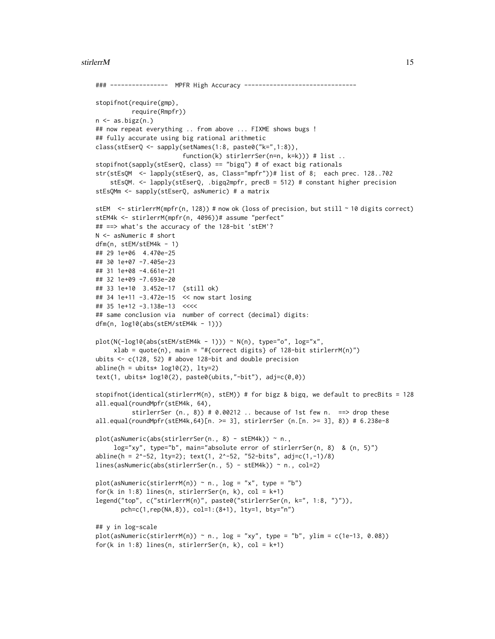#### stirlerrM 15

```
### ---------------- MPFR High Accuracy -------------------------------
stopifnot(require(gmp),
         require(Rmpfr))
n \leq -as.bigz(n.)## now repeat everything .. from above ... FIXME shows bugs !
## fully accurate using big rational arithmetic
class(stEserQ <- sapply(setNames(1:8, paste0("k=",1:8)),
                        function(k) stirlerrSer(n=n, k=k))) # list ..
stopifnot(sapply(stEserQ, class) == "bigq") # of exact big rationals
str(stEsQM <- lapply(stEserQ, as, Class="mpfr"))# list of 8; each prec. 128..702
    stEsQM. <- lapply(stEserQ, .bigq2mpfr, precB = 512) # constant higher precision
stEsQMm <- sapply(stEserQ, asNumeric) # a matrix
stEM <- stirlerrM(mpfr(n, 128)) # now ok (loss of precision, but still ~ 10 digits correct)
stEM4k <- stirlerrM(mpfr(n, 4096))# assume "perfect"
## ==> what's the accuracy of the 128-bit 'stEM'?
N <- asNumeric # short
dfm(n, stEM/stEM4k - 1)
## 29 1e+06 4.470e-25
## 30 1e+07 -7.405e-23
## 31 1e+08 -4.661e-21
## 32 1e+09 -7.693e-20
## 33 1e+10 3.452e-17 (still ok)
## 34 1e+11 -3.472e-15 << now start losing
## 35 1e+12 -3.138e-13 <<<<
## same conclusion via number of correct (decimal) digits:
dfm(n, log10(abs(stEM/stEM4k - 1)))
plot(N(-log10(abs(stEM/stEM4k - 1))) ~ N(n), type="o", log="x",
     xlab = quote(n), main = "#{correct digits} of 128-bit stirlerrM(n)")
ubits \leq c(128, 52) # above 128-bit and double precision
abline(h = 0, 1, 1, 1, 1)text(1, ubits* log10(2), paste0(ubits,"-bit"), adj=c(0,0))
stopifnot(identical(stirlerrM(n), stEM)) # for bigz & bigq, we default to precBits = 128
all.equal(roundMpfr(stEM4k, 64),
          stirlerrSer (n., 8) # 0.00212 .. because of 1st few n. = > drop these
all.equal(roundMpfr(stEM4k,64)[n. >= 3], stirlerrSer (n.[n. >= 3], 8)) # 6.238e-8
plot(asNumeric(abs(stirlerrSer(n., 8) - stEM4k)) ~ n.,
     log="xy", type="b", main="absolute error of stirlerrSer(n, 8) & (n, 5)")
abline(h = 2^-52, lty=2); text(1, 2^-52, "52-bits", adj=c(1,-1)/8)
lines(asNumeric(abs(stirlerrSer(n., 5) - stEM4k)) ~ n., col=2)
plot(asNumeric(stirlerrM(n)) \sim n., log = "x", type = "b")
for(k in 1:8) lines(n, stirlerrSer(n, k), col = k+1)
legend("top", c("stirlerrM(n)", paste0("stirlerrSer(n, k=", 1:8, ")")),
       pch=c(1,rep(NA,8)), col=1:(8+1), lty=1, bty="n")
## y in log-scale
plot(asNumeric(stirlerrM(n)) ~ n., log = "xy", type = "b", ylim = c(1e-13, 0.08))
for(k in 1:8) lines(n, stirlerrSer(n, k), col = k+1)
```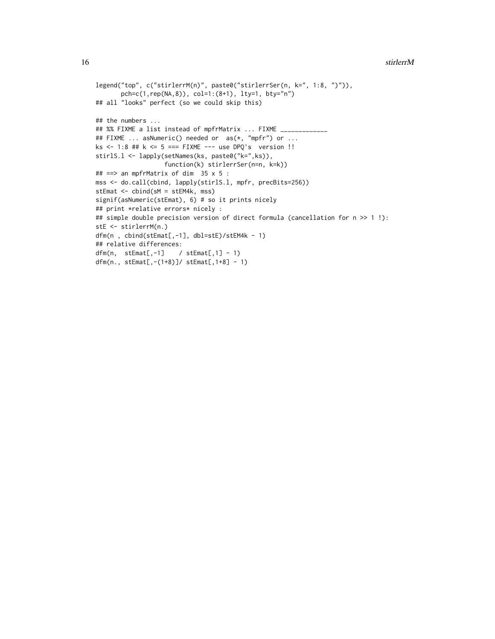#### 16 stirlerrM

```
legend("top", c("stirlerrM(n)", paste0("stirlerrSer(n, k=", 1:8, ")")),
       pch=c(1,rep(NA,8)), col=1:(8+1), lty=1, bty="n")
## all "looks" perfect (so we could skip this)
## the numbers ...
## %% FIXME a list instead of mpfrMatrix ... FIXME _____________
## FIXME ... asNumeric() needed or as(*, "mpfr") or ...
ks <- 1:8 ## k <= 5 === FIXME --- use DPQ's version !!
stirlS.l <- lapply(setNames(ks, paste0("k=",ks)),
                   function(k) stirlerrSer(n=n, k=k))
## ==> an mpfrMatrix of dim 35 x 5 :
mss <- do.call(cbind, lapply(stirlS.l, mpfr, precBits=256))
stEmat <- cbind(sM = stEM4k, mss)
signif(asNumeric(stEmat), 6) # so it prints nicely
## print *relative errors* nicely :
## simple double precision version of direct formula (cancellation for n >> 1 !):
stE <- stirlerrM(n.)
dfm(n , cbind(stEmat[,-1], dbl=stE)/stEM4k - 1)
## relative differences:
dfm(n, \text{ stemat}[, -1] / stEmat[,1] - 1)
dfm(n., stEmat[,-(1+8)]/ stEmat[,1+8] - 1)
```